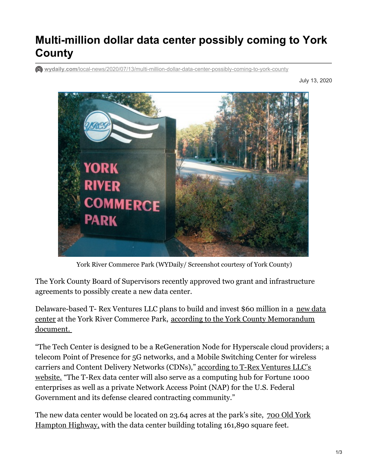## **Multi-million dollar data center possibly coming to York County**

**wydaily.com**[/local-news/2020/07/13/multi-million-dollar-data-center-possibly-coming-to-york-county](https://wydaily.com/local-news/2020/07/13/multi-million-dollar-data-center-possibly-coming-to-york-county/)

July 13, 2020



York River Commerce Park (WYDaily/ Screenshot courtesy of York County)

 The York County Board of Supervisors recently approved two grant and infrastructure agreements to possibly create a new data center.

[Delaware-based](https://www.trexcapitalgroup.com/t-rex-technology-center-yorktown-virginia/) T- Rex Ventures LLC plans to build and invest \$60 million in a new data center at the York River Commerce Park, according to the York County [Memorandum](https://www.yorkcounty.gov/1526/Agenda) document.

 "The Tech Center is designed to be a ReGeneration Node for Hyperscale cloud providers; a telecom Point of Presence for 5G networks, and a Mobile Switching Center for wireless carriers and Content Delivery Networks (CDNs)," <u>according to T-Rex Ventures LLC's</u> website. "The T-Rex data center will also serve as a [computing](https://www.trexcapitalgroup.com/t-rex-technology-center-yorktown-virginia/) hub for Fortune 1000 enterprises as well as a private Network Access Point (NAP) for the U.S. Federal Government and its defense cleared contracting community."

The new data center would be located on 23.64 acres at the park's site, <u>700 Old York</u> [Hampton](https://www.google.com/maps/place/700+Old+York-Hampton+Hwy,+Yorktown,+VA+23692/data=!4m2!3m1!1s0x89b07fe8416dad2f:0xe071cfc0396fd0b0?sa=X&ved=2ahUKEwjlzPfV38rqAhUPmHIEHY6YAo4Q8gEwAHoECAsQAQ) Highway, with the data center building totaling 161,890 square feet.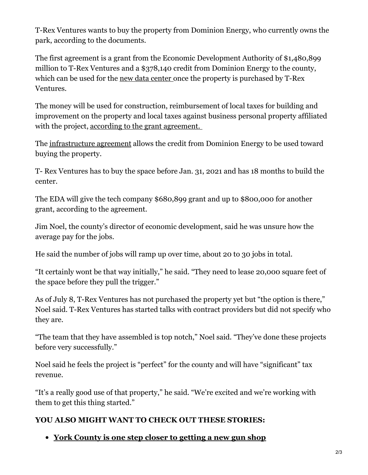T-Rex Ventures wants to buy the property from Dominion Energy, who currently owns the park, according to the documents.

 The first agreement is a grant from the Economic Development Authority of \$1,480,899 million to T-Rex Ventures and a \$378,140 credit from Dominion Energy to the county, which can be used for the <u>new data [center](https://www.trexcapitalgroup.com/wp-content/uploads/2020/07/T-Rex-Technology-Center-Yorktown-broch20.pdf) </u>once the property is purchased by T-Rex Ventures.

 The money will be used for construction, reimbursement of local taxes for building and improvement on the property and local taxes against business personal property affiliated with the project, according to the grant [agreement.](https://www.yorkcounty.gov/DocumentCenter/View/25699/item15b_061620)

The <u>[infrastructure](https://www.yorkcounty.gov/DocumentCenter/View/25700/item15c_061620) agreement</u> allows the credit from Dominion Energy to be used toward buying the property.

 T- Rex Ventures has to buy the space before Jan. 31, 2021 and has 18 months to build the center.

 The EDA will give the tech company \$680,899 grant and up to \$800,000 for another grant, according to the agreement.

 Jim Noel, the county's director of economic development, said he was unsure how the average pay for the jobs.

He said the number of jobs will ramp up over time, about 20 to 30 jobs in total.

 "It certainly wont be that way initially," he said. "They need to lease 20,000 square feet of the space before they pull the trigger."

 As of July 8, T-Rex Ventures has not purchased the property yet but "the option is there," Noel said. T-Rex Ventures has started talks with contract providers but did not specify who they are.

 "The team that they have assembled is top notch," Noel said. "They've done these projects before very successfully."

 Noel said he feels the project is "perfect" for the county and will have "significant" tax revenue.

 "It's a really good use of that property," he said. "We're excited and we're working with them to get this thing started."

## **YOU ALSO MIGHT WANT TO CHECK OUT THESE STORIES:**

 **York [County](https://wydaily.com/local-news/2020/07/13/york-county-is-one-step-closer-to-getting-a-new-gun-shop/) is one step closer to getting a new gun shop**